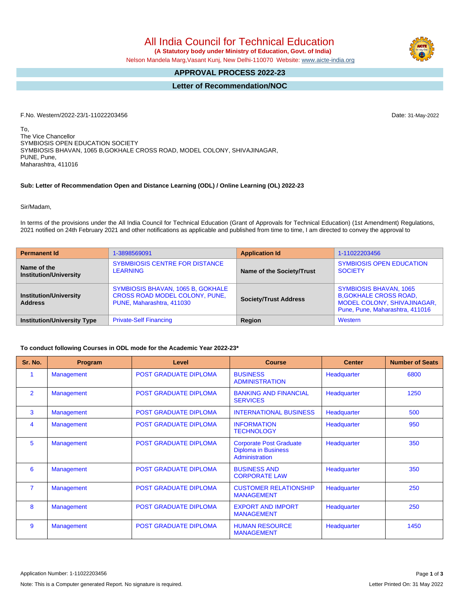# All India Council for Technical Education  **(A Statutory body under Ministry of Education, Govt. of India)**

Nelson Mandela Marg,Vasant Kunj, New Delhi-110070 Website: [www.aicte-india.org](http://www.aicte-india.org)

## **APPROVAL PROCESS 2022-23**

## **Letter of Recommendation/NOC**

F.No. Western/2022-23/1-11022203456 Date: 31-May-2022

To, The Vice Chancellor SYMBIOSIS OPEN EDUCATION SOCIETY SYMBIOSIS BHAVAN, 1065 B,GOKHALE CROSS ROAD, MODEL COLONY, SHIVAJINAGAR, PUNE, Pune, Maharashtra, 411016

#### **Sub: Letter of Recommendation Open and Distance Learning (ODL) / Online Learning (OL) 2022-23**

#### Sir/Madam,

In terms of the provisions under the All India Council for Technical Education (Grant of Approvals for Technical Education) (1st Amendment) Regulations, 2021 notified on 24th February 2021 and other notifications as applicable and published from time to time, I am directed to convey the approval to

| <b>Permanent Id</b>                             | 1-3898569091                                                                                     | <b>Application Id</b>        | 1-11022203456                                                                                                                           |  |  |
|-------------------------------------------------|--------------------------------------------------------------------------------------------------|------------------------------|-----------------------------------------------------------------------------------------------------------------------------------------|--|--|
| Name of the<br><b>Institution/University</b>    | <b>SYBMBIOSIS CENTRE FOR DISTANCE</b><br><b>LEARNING</b>                                         | Name of the Society/Trust    | <b>SYMBIOSIS OPEN EDUCATION</b><br><b>SOCIETY</b>                                                                                       |  |  |
| <b>Institution/University</b><br><b>Address</b> | SYMBIOSIS BHAVAN, 1065 B, GOKHALE<br>CROSS ROAD MODEL COLONY, PUNE,<br>PUNE, Maharashtra, 411030 | <b>Society/Trust Address</b> | <b>SYMBIOSIS BHAVAN, 1065</b><br><b>B, GOKHALE CROSS ROAD,</b><br><b>MODEL COLONY, SHIVAJINAGAR,</b><br>Pune, Pune, Maharashtra, 411016 |  |  |
| <b>Institution/University Type</b>              | <b>Private-Self Financing</b>                                                                    | <b>Region</b>                | Western                                                                                                                                 |  |  |

#### **To conduct following Courses in ODL mode for the Academic Year 2022-23\***

| Sr. No.        | Program           | Level                        | <b>Course</b>                                                                  | <b>Center</b> | <b>Number of Seats</b> |
|----------------|-------------------|------------------------------|--------------------------------------------------------------------------------|---------------|------------------------|
|                | <b>Management</b> | <b>POST GRADUATE DIPLOMA</b> | <b>BUSINESS</b><br><b>ADMINISTRATION</b>                                       | Headquarter   | 6800                   |
| $\overline{2}$ | <b>Management</b> | <b>POST GRADUATE DIPLOMA</b> | <b>BANKING AND FINANCIAL</b><br><b>SERVICES</b>                                | Headquarter   | 1250                   |
| 3              | Management        | <b>POST GRADUATE DIPLOMA</b> | <b>INTERNATIONAL BUSINESS</b>                                                  | Headquarter   | 500                    |
| 4              | <b>Management</b> | <b>POST GRADUATE DIPLOMA</b> | <b>INFORMATION</b><br><b>TECHNOLOGY</b>                                        | Headquarter   | 950                    |
| 5              | <b>Management</b> | <b>POST GRADUATE DIPLOMA</b> | <b>Corporate Post Graduate</b><br><b>Diploma in Business</b><br>Administration | Headquarter   | 350                    |
| 6              | <b>Management</b> | <b>POST GRADUATE DIPLOMA</b> | <b>BUSINESS AND</b><br><b>CORPORATE LAW</b>                                    | Headquarter   | 350                    |
| $\overline{7}$ | <b>Management</b> | <b>POST GRADUATE DIPLOMA</b> | <b>CUSTOMER RELATIONSHIP</b><br><b>MANAGEMENT</b>                              | Headquarter   | 250                    |
| 8              | <b>Management</b> | <b>POST GRADUATE DIPLOMA</b> | <b>EXPORT AND IMPORT</b><br><b>MANAGEMENT</b>                                  | Headquarter   | 250                    |
| 9              | <b>Management</b> | <b>POST GRADUATE DIPLOMA</b> | <b>HUMAN RESOURCE</b><br><b>MANAGEMENT</b>                                     | Headquarter   | 1450                   |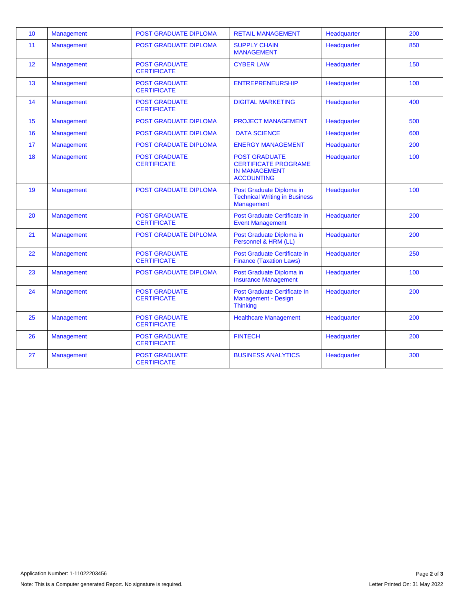| 10 | <b>Management</b> | POST GRADUATE DIPLOMA                      | <b>RETAIL MANAGEMENT</b>                                                                         | Headquarter | 200 |
|----|-------------------|--------------------------------------------|--------------------------------------------------------------------------------------------------|-------------|-----|
| 11 | Management        | <b>POST GRADUATE DIPLOMA</b>               | <b>SUPPLY CHAIN</b><br><b>MANAGEMENT</b>                                                         | Headquarter | 850 |
| 12 | Management        | <b>POST GRADUATE</b><br><b>CERTIFICATE</b> | <b>CYBER LAW</b>                                                                                 | Headquarter | 150 |
| 13 | <b>Management</b> | <b>POST GRADUATE</b><br><b>CERTIFICATE</b> | <b>ENTREPRENEURSHIP</b>                                                                          | Headquarter | 100 |
| 14 | <b>Management</b> | <b>POST GRADUATE</b><br><b>CERTIFICATE</b> | <b>DIGITAL MARKETING</b>                                                                         | Headquarter | 400 |
| 15 | <b>Management</b> | POST GRADUATE DIPLOMA                      | <b>PROJECT MANAGEMENT</b>                                                                        | Headquarter | 500 |
| 16 | Management        | <b>POST GRADUATE DIPLOMA</b>               | <b>DATA SCIENCE</b>                                                                              | Headquarter | 600 |
| 17 | Management        | <b>POST GRADUATE DIPLOMA</b>               | <b>ENERGY MANAGEMENT</b>                                                                         | Headquarter | 200 |
| 18 | Management        | <b>POST GRADUATE</b><br><b>CERTIFICATE</b> | <b>POST GRADUATE</b><br><b>CERTIFICATE PROGRAME</b><br><b>IN MANAGEMENT</b><br><b>ACCOUNTING</b> | Headquarter | 100 |
| 19 | Management        | <b>POST GRADUATE DIPLOMA</b>               | Post Graduate Diploma in<br><b>Technical Writing in Business</b><br>Management                   | Headquarter | 100 |
| 20 | Management        | <b>POST GRADUATE</b><br><b>CERTIFICATE</b> | <b>Post Graduate Certificate in</b><br><b>Event Management</b>                                   | Headquarter | 200 |
| 21 | <b>Management</b> | <b>POST GRADUATE DIPLOMA</b>               | Post Graduate Diploma in<br>Personnel & HRM (LL)                                                 | Headquarter | 200 |
| 22 | <b>Management</b> | <b>POST GRADUATE</b><br><b>CERTIFICATE</b> | Post Graduate Certificate in<br><b>Finance (Taxation Laws)</b>                                   | Headquarter | 250 |
| 23 | <b>Management</b> | <b>POST GRADUATE DIPLOMA</b>               | Post Graduate Diploma in<br><b>Insurance Management</b>                                          | Headquarter | 100 |
| 24 | Management        | <b>POST GRADUATE</b><br><b>CERTIFICATE</b> | Post Graduate Certificate In<br>Management - Design<br><b>Thinking</b>                           | Headquarter | 200 |
| 25 | <b>Management</b> | <b>POST GRADUATE</b><br><b>CERTIFICATE</b> | <b>Healthcare Management</b>                                                                     | Headquarter | 200 |
| 26 | <b>Management</b> | <b>POST GRADUATE</b><br><b>CERTIFICATE</b> | <b>FINTECH</b>                                                                                   | Headquarter | 200 |
| 27 | <b>Management</b> | <b>POST GRADUATE</b><br><b>CERTIFICATE</b> | <b>BUSINESS ANALYTICS</b>                                                                        | Headquarter | 300 |